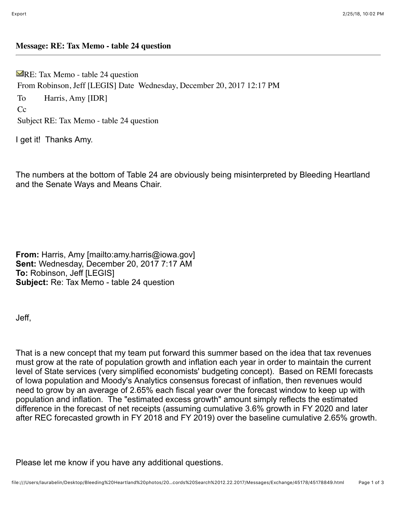## **Message: RE: Tax Memo - table 24 question**

 $\blacktriangleright$ RE: Tax Memo - table 24 question From Robinson, Jeff [LEGIS] Date Wednesday, December 20, 2017 12:17 PM To Harris, Amy [IDR]  $Cc$ Subject RE: Tax Memo - table 24 question

I get it! Thanks Amy.

The numbers at the bottom of Table 24 are obviously being misinterpreted by Bleeding Heartland and the Senate Ways and Means Chair.

**From:** Harris, Amy [mailto:amy.harris@iowa.gov] **Sent:** Wednesday, December 20, 2017 7:17 AM **To:** Robinson, Jeff [LEGIS] **Subject:** Re: Tax Memo - table 24 question

Jeff,

That is a new concept that my team put forward this summer based on the idea that tax revenues must grow at the rate of population growth and inflation each year in order to maintain the current level of State services (very simplified economists' budgeting concept). Based on REMI forecasts of Iowa population and Moody's Analytics consensus forecast of inflation, then revenues would need to grow by an average of 2.65% each fiscal year over the forecast window to keep up with population and inflation. The "estimated excess growth" amount simply reflects the estimated difference in the forecast of net receipts (assuming cumulative 3.6% growth in FY 2020 and later after REC forecasted growth in FY 2018 and FY 2019) over the baseline cumulative 2.65% growth.

Please let me know if you have any additional questions.